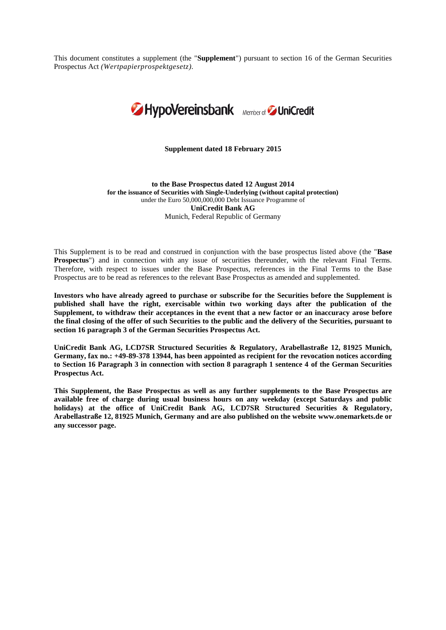This document constitutes a supplement (the "**Supplement**") pursuant to section 16 of the German Securities Prospectus Act *(Wertpapierprospektgesetz).*



**Supplement dated 18 February 2015**

**to the Base Prospectus dated 12 August 2014 for the issuance of Securities with Single-Underlying (without capital protection)** under the Euro 50,000,000,000 Debt Issuance Programme of **UniCredit Bank AG** Munich, Federal Republic of Germany

This Supplement is to be read and construed in conjunction with the base prospectus listed above (the "**Base Prospectus**") and in connection with any issue of securities thereunder, with the relevant Final Terms. Therefore, with respect to issues under the Base Prospectus, references in the Final Terms to the Base Prospectus are to be read as references to the relevant Base Prospectus as amended and supplemented.

**Investors who have already agreed to purchase or subscribe for the Securities before the Supplement is published shall have the right, exercisable within two working days after the publication of the Supplement, to withdraw their acceptances in the event that a new factor or an inaccuracy arose before the final closing of the offer of such Securities to the public and the delivery of the Securities, pursuant to section 16 paragraph 3 of the German Securities Prospectus Act.**

**UniCredit Bank AG, LCD7SR Structured Securities & Regulatory, Arabellastraße 12, 81925 Munich, Germany, fax no.: +49-89-378 13944, has been appointed as recipient for the revocation notices according to Section 16 Paragraph 3 in connection with section 8 paragraph 1 sentence 4 of the German Securities Prospectus Act.**

**This Supplement, the Base Prospectus as well as any further supplements to the Base Prospectus are available free of charge during usual business hours on any weekday (except Saturdays and public holidays) at the office of UniCredit Bank AG, LCD7SR Structured Securities & Regulatory, Arabellastraße 12, 81925 Munich, Germany and are also published on the website www.onemarkets.de or any successor page.**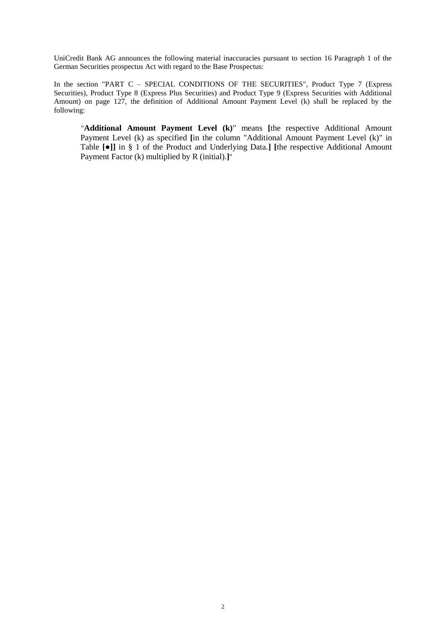UniCredit Bank AG announces the following material inaccuracies pursuant to section 16 Paragraph 1 of the German Securities prospectus Act with regard to the Base Prospectus:

In the section "PART C - SPECIAL CONDITIONS OF THE SECURITIES", Product Type 7 (Express Securities), Product Type 8 (Express Plus Securities) and Product Type 9 (Express Securities with Additional Amount) on page 127, the definition of Additional Amount Payment Level (k) shall be replaced by the following:

"**Additional Amount Payment Level (k)**" means **[**the respective Additional Amount Payment Level (k) as specified [in the column "Additional Amount Payment Level (k)" in Table **[**●**]]** in § 1 of the Product and Underlying Data.**] [**the respective Additional Amount Payment Factor (k) multiplied by R (initial).**]**"